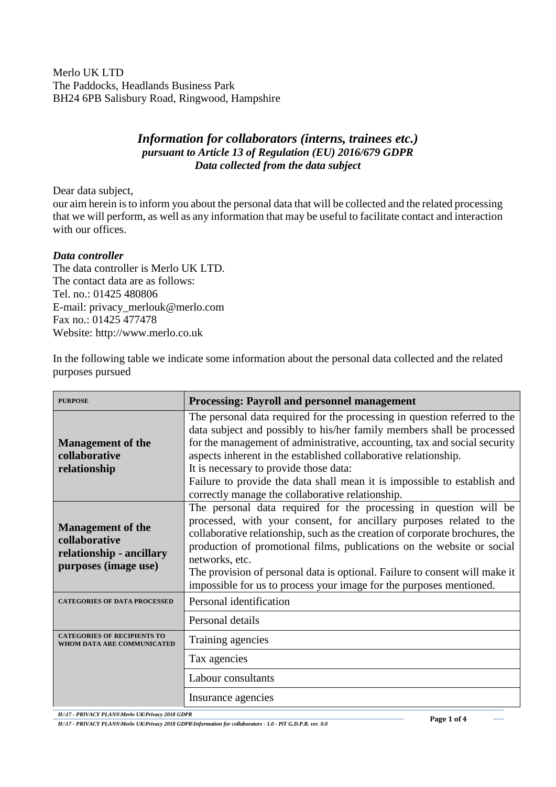Merlo UK LTD The Paddocks, Headlands Business Park BH24 6PB Salisbury Road, Ringwood, Hampshire

## *Information for collaborators (interns, trainees etc.) pursuant to Article 13 of Regulation (EU) 2016/679 GDPR Data collected from the data subject*

Dear data subject,

our aim herein is to inform you about the personal data that will be collected and the related processing that we will perform, as well as any information that may be useful to facilitate contact and interaction with our offices.

## *Data controller*

The data controller is Merlo UK LTD. The contact data are as follows: Tel. no.: 01425 480806 E-mail: privacy\_merlouk@merlo.com Fax no.: 01425 477478 Website: http://www.merlo.co.uk

In the following table we indicate some information about the personal data collected and the related purposes pursued

| <b>PURPOSE</b>                                                                                | <b>Processing: Payroll and personnel management</b>                                                                                                                                                                                                                                                                                                                                                                                                                           |
|-----------------------------------------------------------------------------------------------|-------------------------------------------------------------------------------------------------------------------------------------------------------------------------------------------------------------------------------------------------------------------------------------------------------------------------------------------------------------------------------------------------------------------------------------------------------------------------------|
| <b>Management of the</b><br>collaborative<br>relationship                                     | The personal data required for the processing in question referred to the<br>data subject and possibly to his/her family members shall be processed<br>for the management of administrative, accounting, tax and social security<br>aspects inherent in the established collaborative relationship.<br>It is necessary to provide those data:<br>Failure to provide the data shall mean it is impossible to establish and<br>correctly manage the collaborative relationship. |
| <b>Management of the</b><br>collaborative<br>relationship - ancillary<br>purposes (image use) | The personal data required for the processing in question will be<br>processed, with your consent, for ancillary purposes related to the<br>collaborative relationship, such as the creation of corporate brochures, the<br>production of promotional films, publications on the website or social<br>networks, etc.<br>The provision of personal data is optional. Failure to consent will make it<br>impossible for us to process your image for the purposes mentioned.    |
| <b>CATEGORIES OF DATA PROCESSED</b>                                                           | Personal identification                                                                                                                                                                                                                                                                                                                                                                                                                                                       |
|                                                                                               | Personal details                                                                                                                                                                                                                                                                                                                                                                                                                                                              |
| <b>CATEGORIES OF RECIPIENTS TO</b><br>WHOM DATA ARE COMMUNICATED                              | Training agencies                                                                                                                                                                                                                                                                                                                                                                                                                                                             |
|                                                                                               | Tax agencies                                                                                                                                                                                                                                                                                                                                                                                                                                                                  |
|                                                                                               | Labour consultants                                                                                                                                                                                                                                                                                                                                                                                                                                                            |
|                                                                                               | Insurance agencies                                                                                                                                                                                                                                                                                                                                                                                                                                                            |

*H:\17 - PRIVACY PLANS\Merlo UK\Privacy 2018 GDPR*

*H:\17 - PRIVACY PLANS\Merlo UK\Privacy 2018 GDPR\Information for collaborators - 1.0 - PiT G.D.P.R. ver. 0.0*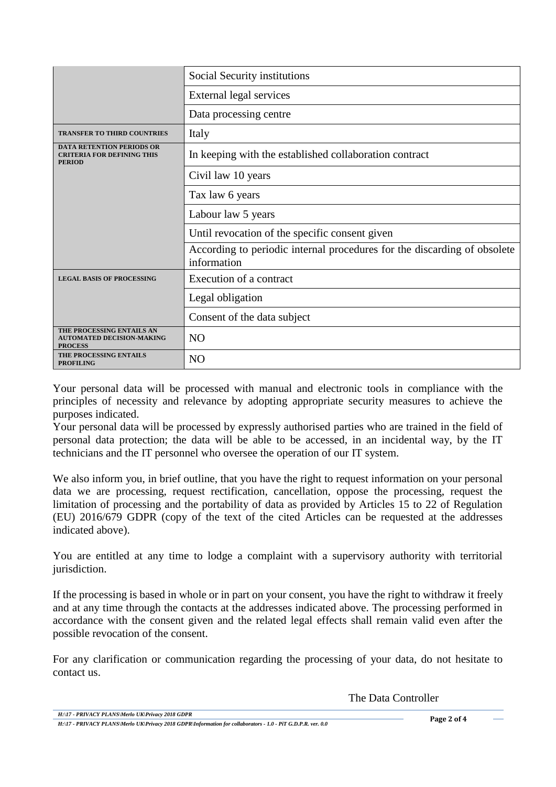|                                                                                        | Social Security institutions                                                            |
|----------------------------------------------------------------------------------------|-----------------------------------------------------------------------------------------|
|                                                                                        | External legal services                                                                 |
|                                                                                        | Data processing centre                                                                  |
| <b>TRANSFER TO THIRD COUNTRIES</b>                                                     | Italy                                                                                   |
| <b>DATA RETENTION PERIODS OR</b><br><b>CRITERIA FOR DEFINING THIS</b><br><b>PERIOD</b> | In keeping with the established collaboration contract                                  |
|                                                                                        | Civil law 10 years                                                                      |
|                                                                                        | Tax law 6 years                                                                         |
|                                                                                        | Labour law 5 years                                                                      |
|                                                                                        | Until revocation of the specific consent given                                          |
|                                                                                        | According to periodic internal procedures for the discarding of obsolete<br>information |
| <b>LEGAL BASIS OF PROCESSING</b>                                                       | Execution of a contract                                                                 |
|                                                                                        | Legal obligation                                                                        |
|                                                                                        | Consent of the data subject                                                             |
| THE PROCESSING ENTAILS AN<br><b>AUTOMATED DECISION-MAKING</b><br><b>PROCESS</b>        | N <sub>O</sub>                                                                          |
| THE PROCESSING ENTAILS<br><b>PROFILING</b>                                             | N <sub>O</sub>                                                                          |

Your personal data will be processed with manual and electronic tools in compliance with the principles of necessity and relevance by adopting appropriate security measures to achieve the purposes indicated.

Your personal data will be processed by expressly authorised parties who are trained in the field of personal data protection; the data will be able to be accessed, in an incidental way, by the IT technicians and the IT personnel who oversee the operation of our IT system.

We also inform you, in brief outline, that you have the right to request information on your personal data we are processing, request rectification, cancellation, oppose the processing, request the limitation of processing and the portability of data as provided by Articles 15 to 22 of Regulation (EU) 2016/679 GDPR (copy of the text of the cited Articles can be requested at the addresses indicated above).

You are entitled at any time to lodge a complaint with a supervisory authority with territorial jurisdiction.

If the processing is based in whole or in part on your consent, you have the right to withdraw it freely and at any time through the contacts at the addresses indicated above. The processing performed in accordance with the consent given and the related legal effects shall remain valid even after the possible revocation of the consent.

For any clarification or communication regarding the processing of your data, do not hesitate to contact us.

The Data Controller

*H:\17 - PRIVACY PLANS\Merlo UK\Privacy 2018 GDPR\Information for collaborators - 1.0 - PiT G.D.P.R. ver. 0.0*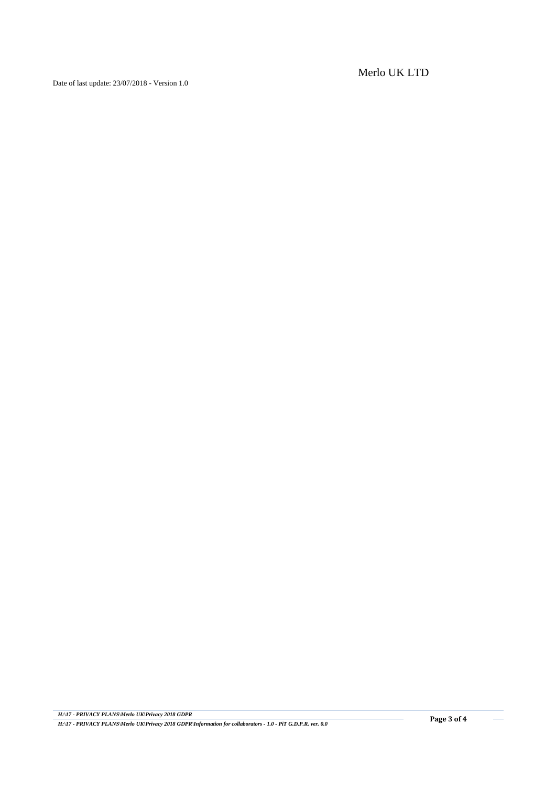Date of last update: 23/07/2018 - Version 1.0

Merlo UK LTD